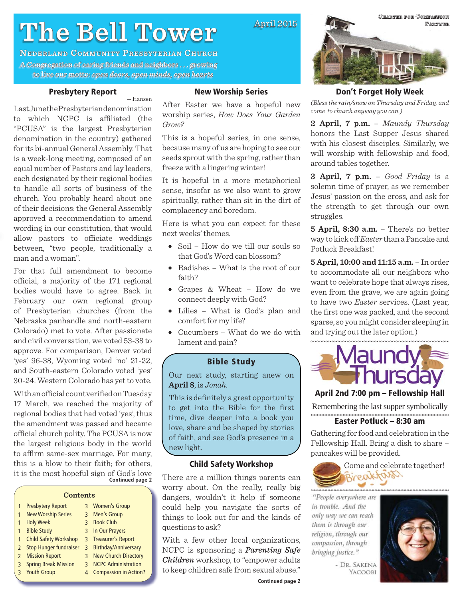# **The Bell Tower he**

**NEDERLAND COMMUNITY PRESBYTERIAN CHURCH** A Congregation of caring friends and neighbors ... growing to live our motto: *open doors, open minds, open hearts* 

#### **Presbytery Report**

— Hansen

Last June the Presbyterian denomination to which NCPC is affiliated (the "PCUSA" is the largest Presbyterian denomination in the country) gathered for its bi-annual General Assembly. That is a week-long meeting, composed of an equal number of Pastors and lay leaders, each designated by their regional bodies to handle all sorts of business of the church. You probably heard about one of their decisions: the General Assembly approved a recommendation to amend wording in our constitution, that would allow pastors to officiate weddings between, "two people, traditionally a man and a woman".

For that full amendment to become official, a majority of the 171 regional bodies would have to agree. Back in February our own regional group of Presbyterian churches (from the Nebraska panhandle and north-eastern Colorado) met to vote. After passionate and civil conversation, we voted 53-38 to approve. For comparison, Denver voted 'yes' 96-38, Wyoming voted 'no' 21-22, and South-eastern Colorado voted 'yes' 30-24. Western Colorado has yet to vote.

**Continued page 2** With an official count verified on Tuesday 17 March, we reached the majority of regional bodies that had voted 'yes', thus the amendment was passed and became official church polity. The PCUSA is now the largest religious body in the world to affirm same-sex marriage. For many, this is a blow to their faith; for others, it is the most hopeful sign of God's love

#### **Contents**

|              | <b>Presbytery Report</b>     |              | 3 Women's Group              |
|--------------|------------------------------|--------------|------------------------------|
| $\mathbf{1}$ | <b>New Worship Series</b>    | $\mathbf{R}$ | Men's Group                  |
|              | <b>Holy Week</b>             | ξ            | <b>Book Club</b>             |
|              | <b>Bible Study</b>           |              | 3 In Our Prayers             |
|              | <b>Child Safety Workshop</b> |              | 3 Treasurer's Report         |
|              | 2 Stop Hunger fundraiser     |              | 3 Birthday/Anniversary       |
|              | 2 Mission Report             | 3            | <b>New Church Directory</b>  |
|              | 3 Spring Break Mission       | २            | <b>NCPC Administration</b>   |
|              | 3 Youth Group                | 4            | <b>Compassion in Action?</b> |
|              |                              |              |                              |

#### **New Worship Series**

April 2015

After Easter we have a hopeful new worship series, *How Does Your Garden Grow?*

This is a hopeful series, in one sense, because many of us are hoping to see our seeds sprout with the spring, rather than freeze with a lingering winter!

It is hopeful in a more metaphorical sense, insofar as we also want to grow spiritually, rather than sit in the dirt of complacency and boredom.

Here is what you can expect for these next weeks' themes.

- Soil How do we till our souls so that God's Word can blossom?
- Radishes What is the root of our faith?
- Grapes & Wheat How do we connect deeply with God?
- Lilies What is God's plan and comfort for my life?
- Cucumbers What do we do with lament and pain?

#### **Bible Study**

Our next study, starting anew on **April 8**, is *Jonah*.

This is definitely a great opportunity to get into the Bible for the first time, dive deeper into a book you love, share and be shaped by stories of faith, and see God's presence in a new light.

#### **Child Safety Workshop**

There are a million things parents can worry about. On the really, really big dangers, wouldn't it help if someone could help you navigate the sorts of things to look out for and the kinds of questions to ask?

With a few other local organizations, NCPC is sponsoring a *Parenting Safe Children* workshop, to "empower adults to keep children safe from sexual abuse."

**Continued page 2**



#### **Don't Forget Holy Week**

*(Bless the rain/snow on Thursday and Friday, and come to church anyway you can.)*

**2 April, 7 p.m.** – *Maundy Thursday* honors the Last Supper Jesus shared with his closest disciples. Similarly, we will worship with fellowship and food, around tables together.

**3 April, 7 p.m.** – *Good Friday* is a solemn time of prayer, as we remember Jesus' passion on the cross, and ask for the strength to get through our own struggles.

**5 April, 8:30 a.m.** – There's no better way to kick off *Easter* than a Pancake and Potluck Breakfast!

**5 April, 10:00 and 11:15 a.m.** – In order to accommodate all our neighbors who want to celebrate hope that always rises, even from the grave, we are again going to have two *Easter* services. (Last year, the first one was packed, and the second sparse, so you might consider sleeping in and trying out the later option.)



**April 2nd 7:00 pm – Fellowship Hall** 

Remembering the last supper symbolically

#### **Easter Potluck – 8:30 am**

Gathering for food and celebration in the Fellowship Hall. Bring a dish to share – pancakes will be provided.



"People everywhere are in trouble. And the only way we can reach them is through our religion, through our compassion, through bringing justice."



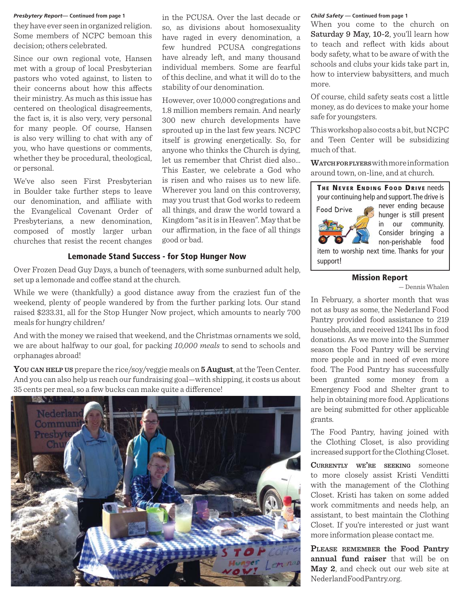#### *Presbytery Report***— Continued from page 1** *Child Safety* **— Continued from page 1**

they have ever seen in organized religion. Some members of NCPC bemoan this decision; others celebrated.

Since our own regional vote, Hansen met with a group of local Presbyterian pastors who voted against, to listen to their concerns about how this affects their ministry. As much as this issue has centered on theological disagreements, the fact is, it is also very, very personal for many people. Of course, Hansen is also very willing to chat with any of you, who have questions or comments, whether they be procedural, theological, or personal.

We've also seen First Presbyterian in Boulder take further steps to leave our denomination, and affiliate with the Evangelical Covenant Order of Presbyterians, a new denomination, composed of mostly larger urban churches that resist the recent changes

in the PCUSA. Over the last decade or so, as divisions about homosexuality have raged in every denomination, a few hundred PCUSA congregations have already left, and many thousand individual members. Some are fearful of this decline, and what it will do to the stability of our denomination.

However, over 10,000 congregations and 1.8 million members remain. And nearly 300 new church developments have sprouted up in the last few years. NCPC itself is growing energetically. So, for anyone who thinks the Church is dying, let us remember that Christ died also… This Easter, we celebrate a God who is risen and who raises us to new life. Wherever you land on this controversy, may you trust that God works to redeem all things, and draw the world toward a Kingdom "as it is in Heaven". May that be our affirmation, in the face of all things good or bad.

#### **Lemonade Stand Success - for Stop Hunger Now**

Over Frozen Dead Guy Days, a bunch of teenagers, with some sunburned adult help, set up a lemonade and coffee stand at the church.

While we were (thankfully) a good distance away from the craziest fun of the weekend, plenty of people wandered by from the further parking lots. Our stand raised \$233.31, all for the Stop Hunger Now project, which amounts to nearly 700 meals for hungry children*!*

And with the money we raised that weekend, and the Christmas ornaments we sold, we are about halfway to our goal, for packing *10,000 meals* to send to schools and orphanages abroad!

**YOU CAN HELP US** prepare the rice/soy/veggie meals on **5 August**, at the Teen Center. And you can also help us reach our fundraising goal—with shipping, it costs us about 35 cents per meal, so a few bucks can make quite a difference!



When you come to the church on Saturday 9 May, 10-2, you'll learn how to teach and reflect with kids about body safety, what to be aware of with the schools and clubs your kids take part in, how to interview babysitters, and much more.

Of course, child safety seats cost a little money, as do devices to make your home safe for youngsters.

This workshop also costs a bit, but NCPC and Teen Center will be subsidizing much of that.

**WATCHFORFLYERS** with more information around town, on-line, and at church.



support!

#### **Mission Report**

— Dennis Whalen

In February, a shorter month that was not as busy as some, the Nederland Food Pantry provided food assistance to 219 households, and received 1241 lbs in food donations. As we move into the Summer season the Food Pantry will be serving more people and in need of even more food. The Food Pantry has successfully been granted some money from a Emergency Food and Shelter grant to help in obtaining more food. Applications are being submitted for other applicable grants.

The Food Pantry, having joined with the Clothing Closet, is also providing increased support for the Clothing Closet.

**CURRENTLY WE'RE SEEKING** someone to more closely assist Kristi Venditti with the management of the Clothing Closet. Kristi has taken on some added work commitments and needs help, an assistant, to best maintain the Clothing Closet. If you're interested or just want more information please contact me.

**PLEASE REMEMBER the Food Pantry annual fund raiser** that will be on **May 2**, and check out our web site at NederlandFoodPantry.org.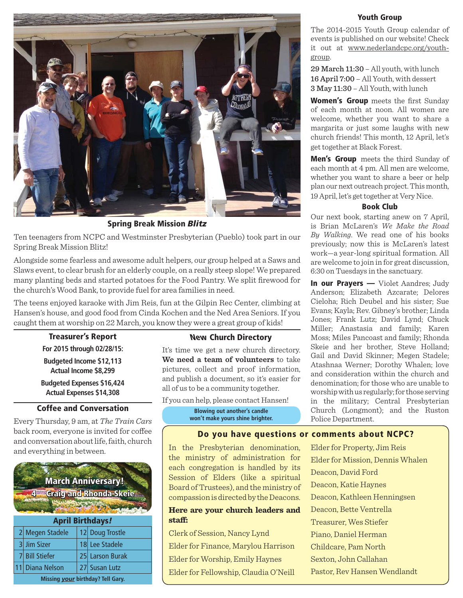

**Spring Break Mission** *Blitz*

Ten teenagers from NCPC and Westminster Presbyterian (Pueblo) took part in our Spring Break Mission Blitz!

Alongside some fearless and awesome adult helpers, our group helped at a Saws and Slaws event, to clear brush for an elderly couple, on a really steep slope! We prepared many planting beds and started potatoes for the Food Pantry. We split firewood for the church's Wood Bank, to provide fuel for area families in need.

The teens enjoyed karaoke with Jim Reis, fun at the Gilpin Rec Center, climbing at Hansen's house, and good food from Cinda Kochen and the Ned Area Seniors. If you caught them at worship on 22 March, you know they were a great group of kids!

#### **Treasurer's Report**

**For 2015 through 02/28/15: Budgeted Income \$12,113 Actual Income \$8,299**

**Budgeted Expenses \$16,424 Actual Expenses \$14,308**

### **Coffee and Conversation**

Every Thursday, 9 am, at *The Train Cars* back room, everyone is invited for coffee and conversation about life, faith, church and everything in between.



**Missing** *your* **birthday? Tell Gary.**

#### **New Church Directory**

It's time we get a new church directory. **We need a team of volunteers** to take pictures, collect and proof information, and publish a document, so it's easier for all of us to be a community together.

If you can help, please contact Hansen! **Blowing out another's candle**

**won't make yours shine brighter.**

#### **Youth Group**

The 2014-2015 Youth Group calendar of events is published on our website! Check it out at www.nederlandcpc.org/youthgroup.

29 March 11:30 – All youth, with lunch 16 April 7:00 – All Youth, with dessert 3 May 11:30 – All Youth, with lunch

**Women's Group** meets the first Sunday of each month at noon. All women are welcome, whether you want to share a margarita or just some laughs with new church friends! This month, 12 April, let's get together at Black Forest.

**Men's Group** meets the third Sunday of each month at 4 pm. All men are welcome, whether you want to share a beer or help plan our next outreach project. This month, 19 April, let's get together at Very Nice.

#### **Book Club**

Our next book, starting anew on 7 April, is Brian McLaren's *We Make the Road By Walking*. We read one of his books previously; now this is McLaren's latest work—a year-long spiritual formation. All are welcome to join in for great discussion, 6:30 on Tuesdays in the sanctuary.

**In our Prayers —** Violet Aandres; Judy Anderson; Elizabeth Azcarate; Delores Cieloha; Rich Deubel and his sister; Sue Evans; Kayla; Rev. Gibney's brother; Linda Jones; Frank Lutz; David Lynd; Chuck Miller; Anastasia and family; Karen Moss; Miles Pancoast and family; Rhonda Skeie and her brother, Steve Holland; Gail and David Skinner; Megen Stadele; Atashnaa Werner; Dorothy Whalen; love and consideration within the church and denomination; for those who are unable to worship with us regularly; for those serving in the military; Central Presbyterian Church (Longmont); and the Ruston Police Department.

#### **Do you have questions or comments about NCPC?**

In the Presbyterian denomination, the ministry of administration for each congregation is handled by its Session of Elders (like a spiritual Board of Trustees), and the ministry of compassion is directed by the Deacons.

#### **Here are your church leaders and**  staff:

Clerk of Session, Nancy Lynd Elder for Finance, Marylou Harrison Elder for Worship, Emily Haynes Elder for Fellowship, Claudia O'Neill Elder for Property, Jim Reis Elder for Mission, Dennis Whalen Deacon, David Ford Deacon, Katie Haynes Deacon, Kathleen Henningsen Deacon, Bette Ventrella Treasurer, Wes Stiefer Piano, Daniel Herman Childcare, Pam North Sexton, John Callahan Pastor, Rev Hansen Wendlandt